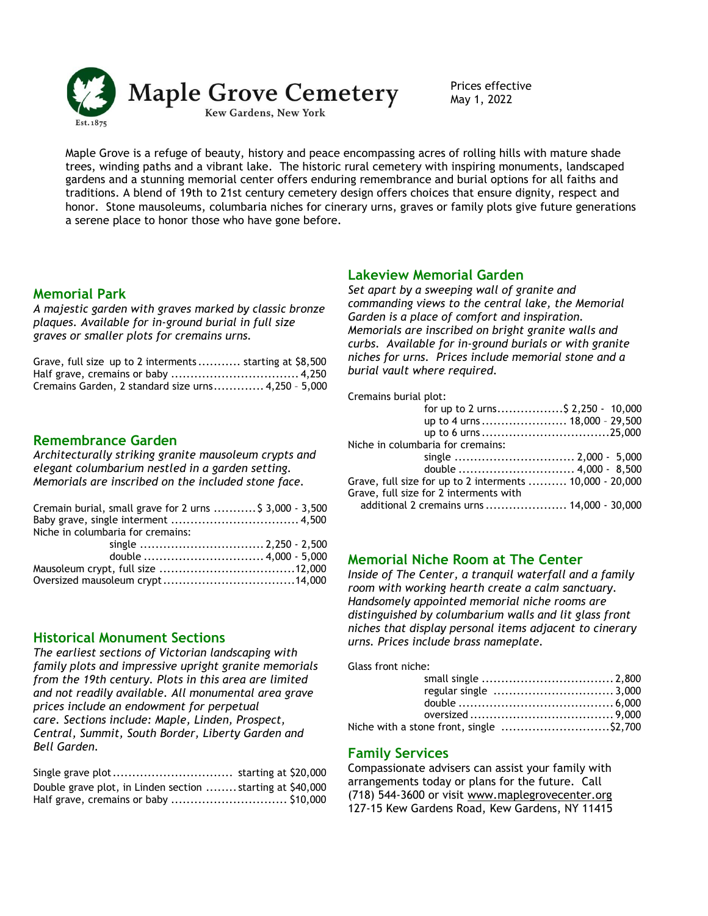

May 1, 2022

Maple Grove is a refuge of beauty, history and peace encompassing acres of rolling hills with mature shade trees, winding paths and a vibrant lake. The historic rural cemetery with inspiring monuments, landscaped gardens and a stunning memorial center offers enduring remembrance and burial options for all faiths and traditions. A blend of 19th to 21st century cemetery design offers choices that ensure dignity, respect and honor. Stone mausoleums, columbaria niches for cinerary urns, graves or family plots give future generations a serene place to honor those who have gone before.

### **Memorial Park**

*A majestic garden with graves marked by classic bronze plaques. Available for in-ground burial in full size graves or smaller plots for cremains urns.*

| Grave, full size up to 2 interments  starting at \$8,500 |  |
|----------------------------------------------------------|--|
|                                                          |  |
| Cremains Garden, 2 standard size urns 4,250 - 5,000      |  |

#### **Remembrance Garden**

*Architecturally striking granite mausoleum crypts and elegant columbarium nestled in a garden setting. Memorials are inscribed on the included stone face.*

| Cremain burial, small grave for 2 urns  \$ 3,000 - 3,500 |
|----------------------------------------------------------|
|                                                          |
|                                                          |
|                                                          |
|                                                          |
|                                                          |
|                                                          |
|                                                          |

### **Historical Monument Sections**

*The earliest sections of Victorian landscaping with family plots and impressive upright granite memorials from the 19th century. Plots in this area are limited and not readily available. All monumental area grave prices include an endowment for perpetual care. Sections include: Maple, Linden, Prospect, Central, Summit, South Border, Liberty Garden and Bell Garden.*

| Double grave plot, in Linden section  starting at \$40,000 |  |
|------------------------------------------------------------|--|
|                                                            |  |

# **Lakeview Memorial Garden**

*Set apart by a sweeping wall of granite and commanding views to the central lake, the Memorial Garden is a place of comfort and inspiration. Memorials are inscribed on bright granite walls and curbs. Available for in-ground burials or with granite niches for urns. Prices include memorial stone and a burial vault where required.*

Cremains burial plot:

| for up to 2 urns\$ 2,250 - 10,000                        |  |
|----------------------------------------------------------|--|
| up to 4 urns  18,000 - 29,500                            |  |
|                                                          |  |
| Niche in columbaria for cremains:                        |  |
|                                                          |  |
|                                                          |  |
| Grave, full size for up to 2 interments  10,000 - 20,000 |  |
| Grave, full size for 2 interments with                   |  |
| additional 2 cremains urns  14,000 - 30,000              |  |

# **Memorial Niche Room at The Center**

*Inside of The Center, a tranquil waterfall and a family room with working hearth create a calm sanctuary. Handsomely appointed memorial niche rooms are distinguished by columbarium walls and lit glass front niches that display personal items adjacent to cinerary urns. Prices include brass nameplate.* 

Glass front niche:

| Niche with a stone front, single \$2,700 |  |
|------------------------------------------|--|

### **Family Services**

Compassionate advisers can assist your family with arrangements today or plans for the future. Call (718) 544-3600 or visit www.maplegrovecenter.org [127-15 Kew Gardens Road, Kew Gardens, NY](http://www.maplegrovecenter.com/) 11415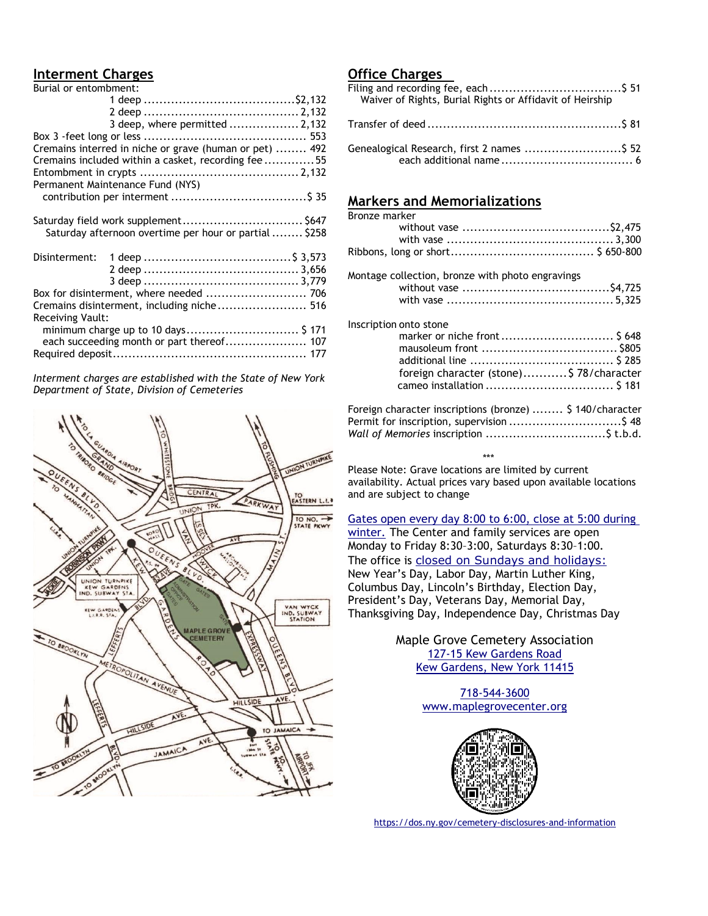# **Interment Charges**

| Burial or entombment: |                                                         |  |
|-----------------------|---------------------------------------------------------|--|
|                       |                                                         |  |
|                       |                                                         |  |
|                       | 3 deep, where permitted  2,132                          |  |
|                       |                                                         |  |
|                       | Cremains interred in niche or grave (human or pet)  492 |  |
|                       | Cremains included within a casket, recording fee55      |  |
|                       |                                                         |  |
|                       | Permanent Maintenance Fund (NYS)                        |  |
|                       |                                                         |  |
|                       |                                                         |  |
|                       |                                                         |  |
|                       | Saturday afternoon overtime per hour or partial  \$258  |  |
|                       |                                                         |  |
|                       |                                                         |  |
|                       |                                                         |  |
|                       |                                                         |  |
|                       |                                                         |  |
|                       | Cremains disinterment, including niche 516              |  |
| Receiving Vault:      |                                                         |  |
|                       | minimum charge up to 10 days \$ 171                     |  |
|                       | each succeeding month or part thereof 107               |  |
|                       |                                                         |  |
|                       |                                                         |  |

*Interment charges are established with the State of New York Department of State, Division of Cemeteries*



## **Office Charges**

| Waiver of Rights, Burial Rights or Affidavit of Heirship |
|----------------------------------------------------------|
|                                                          |
| Genealogical Research, first 2 names  \$52               |

# **Markers and Memorializations**

| Bronze marker |                                                                                                       |  |
|---------------|-------------------------------------------------------------------------------------------------------|--|
|               |                                                                                                       |  |
|               | Montage collection, bronze with photo engravings                                                      |  |
|               | Inscription onto stone<br>foreign character (stone) \$78/character                                    |  |
|               | Foreign character inscriptions (bronze)  \$140/character<br>Permit for inscription, supervision \$ 48 |  |

 \*\*\* Please Note: Grave locations are limited by current availability. Actual prices vary based upon available locations and are subject to change

[Gates open every day 8:00 to 6:00, close at 5:00 during](http://www.maplegrovecenter.com/)  [winter.](http://www.maplegrovecenter.com/) The Center and family services are open Monday to Friday 8:30–3:00, Saturdays 8:30–1:00. The office is [closed on Sundays and holidays:](http://www.maplegrovecenter.com/) New Year's Day, Labor Day, Martin Luther King, Columbus Day, Lincoln's Birthday, Election Day, President's Day, Veterans Day, Memorial Day, Thanksgiving Day, Independence Day, Christmas Day

> Maple Grove Cemetery Association [127-15 Kew Gardens Road](http://www.maplegrovecenter.com/) [Kew Gardens, New York](http://www.maplegrovecenter.com/) 11415

> > [718-544-3600](http://www.maplegrovecenter.org/) [www.maplegrovecenter.org](http://www.maplegrovecenter.org/)



<https://dos.ny.gov/cemetery-disclosures-and-information>